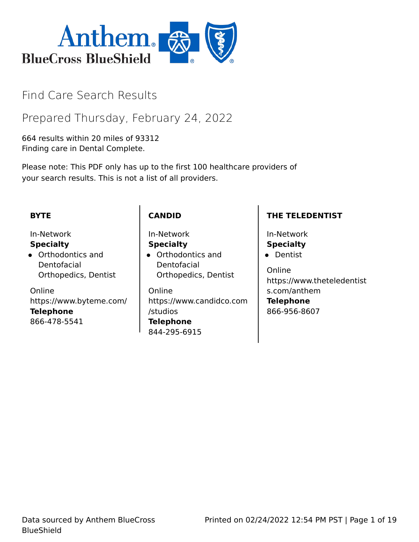

# Find Care Search Results

Prepared Thursday, February 24, 2022

664 results within 20 miles of 93312 Finding care in Dental Complete.

Please note: This PDF only has up to the first 100 healthcare providers of your search results. This is not a list of all providers.

## **BYTE**

## In-Network

#### **Specialty**

Orthodontics and Dentofacial Orthopedics, Dentist

Online https://www.byteme.com/ **Telephone** 866-478-5541

## **CANDID**

In-Network **Specialty**

Orthodontics and Dentofacial Orthopedics, Dentist

Online https://www.candidco.com /studios **Telephone** 844-295-6915

## **THE TELEDENTIST**

In-Network **Specialty •** Dentist

Online https://www.theteledentist s.com/anthem **Telephone** 866-956-8607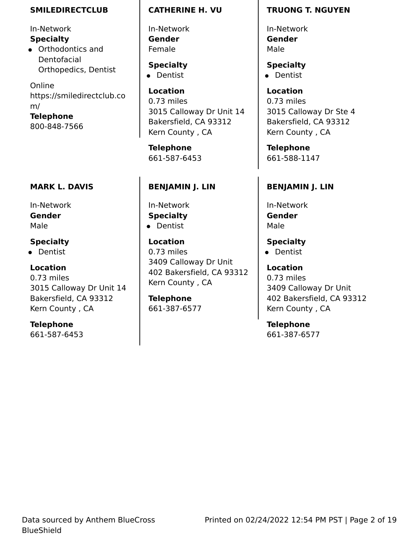#### **SMILEDIRECTCLUB**

In-Network **Specialty**

Orthodontics and Dentofacial Orthopedics, Dentist

Online https://smiledirectclub.co m/ **Telephone**

800-848-7566

## **MARK L. DAVIS**

In-Network **Gender** Male

## **Specialty**

• Dentist

## **Location**

0.73 miles 3015 Calloway Dr Unit 14 Bakersfield, CA 93312 Kern County , CA

## **Telephone**

661-587-6453

### **CATHERINE H. VU**

In-Network **Gender** Female

**Specialty** • Dentist

**Location** 0.73 miles 3015 Calloway Dr Unit 14 Bakersfield, CA 93312 Kern County , CA

**Telephone** 661-587-6453

## **BENJAMIN J. LIN**

In-Network **Specialty •** Dentist

**Location** 0.73 miles 3409 Calloway Dr Unit 402 Bakersfield, CA 93312 Kern County , CA

**Telephone** 661-387-6577

### **TRUONG T. NGUYEN**

In-Network **Gender** Male

**Specialty** • Dentist

**Location** 0.73 miles 3015 Calloway Dr Ste 4 Bakersfield, CA 93312 Kern County , CA

**Telephone** 661-588-1147

## **BENJAMIN J. LIN**

In-Network **Gender** Male

**Specialty** • Dentist

**Location** 0.73 miles 3409 Calloway Dr Unit 402 Bakersfield, CA 93312 Kern County , CA

**Telephone** 661-387-6577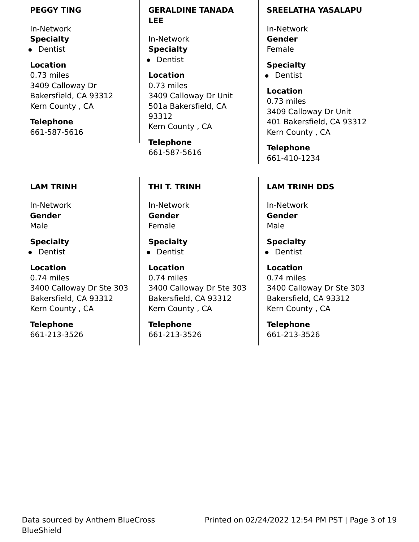#### **PEGGY TING**

In-Network **Specialty**

• Dentist

**Location** 0.73 miles 3409 Calloway Dr Bakersfield, CA 93312 Kern County , CA

**Telephone** 661-587-5616

## **LAM TRINH**

In-Network **Gender** Male

## **Specialty**

• Dentist

## **Location**

0.74 miles 3400 Calloway Dr Ste 303 Bakersfield, CA 93312 Kern County , CA

**Telephone**

661-213-3526

**GERALDINE TANADA LEE**

In-Network **Specialty •** Dentist

**Location** 0.73 miles 3409 Calloway Dr Unit 501a Bakersfield, CA 93312 Kern County , CA

**Telephone** 661-587-5616

## **THI T. TRINH**

In-Network **Gender** Female

**Specialty** • Dentist

**Location** 0.74 miles 3400 Calloway Dr Ste 303 Bakersfield, CA 93312 Kern County , CA

**Telephone** 661-213-3526

### **SREELATHA YASALAPU**

In-Network **Gender** Female

**Specialty** • Dentist

**Location** 0.73 miles 3409 Calloway Dr Unit 401 Bakersfield, CA 93312 Kern County , CA

**Telephone** 661-410-1234

## **LAM TRINH DDS**

In-Network **Gender** Male

**Specialty**

• Dentist

**Location** 0.74 miles 3400 Calloway Dr Ste 303 Bakersfield, CA 93312 Kern County , CA

**Telephone** 661-213-3526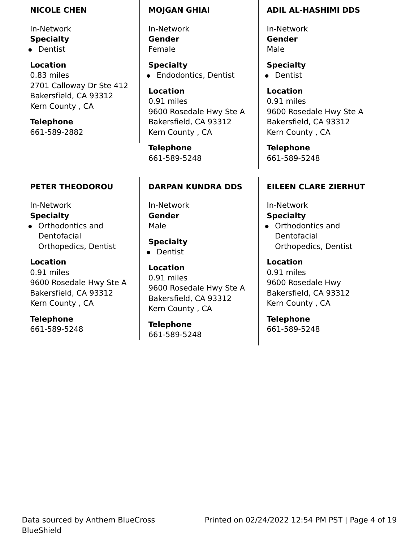#### **NICOLE CHEN**

In-Network **Specialty** • Dentist

**Location** 0.83 miles 2701 Calloway Dr Ste 412 Bakersfield, CA 93312 Kern County , CA

**Telephone** 661-589-2882

## **PETER THEODOROU**

In-Network

### **Specialty**

Orthodontics and Dentofacial Orthopedics, Dentist

**Location**

0.91 miles 9600 Rosedale Hwy Ste A Bakersfield, CA 93312 Kern County , CA

**Telephone**

661-589-5248

### **MOJGAN GHIAI**

In-Network **Gender** Female

**Specialty •** Endodontics, Dentist

**Location** 0.91 miles 9600 Rosedale Hwy Ste A Bakersfield, CA 93312 Kern County , CA

**Telephone** 661-589-5248

## **DARPAN KUNDRA DDS**

In-Network **Gender** Male

**Specialty**

• Dentist

**Location** 0.91 miles 9600 Rosedale Hwy Ste A Bakersfield, CA 93312 Kern County , CA

**Telephone** 661-589-5248

## **ADIL AL-HASHIMI DDS**

In-Network **Gender** Male

**Specialty** • Dentist

**Location** 0.91 miles 9600 Rosedale Hwy Ste A Bakersfield, CA 93312 Kern County , CA

**Telephone** 661-589-5248

## **EILEEN CLARE ZIERHUT**

In-Network

**Specialty**

Orthodontics and Dentofacial Orthopedics, Dentist

**Location** 0.91 miles 9600 Rosedale Hwy Bakersfield, CA 93312 Kern County , CA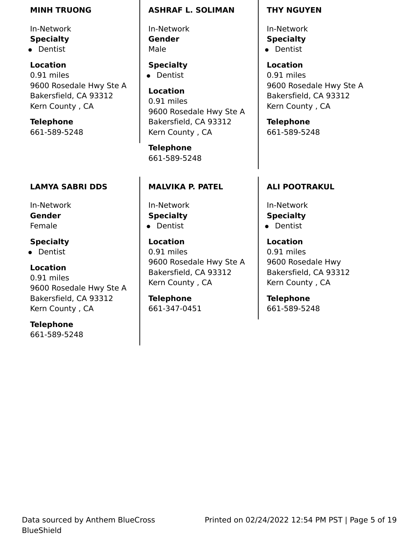#### **MINH TRUONG**

In-Network **Specialty**

• Dentist

**Location** 0.91 miles 9600 Rosedale Hwy Ste A Bakersfield, CA 93312 Kern County , CA

**Telephone** 661-589-5248

## **LAMYA SABRI DDS**

In-Network **Gender** Female

## **Specialty**

• Dentist

## **Location**

0.91 miles 9600 Rosedale Hwy Ste A Bakersfield, CA 93312 Kern County , CA

## **Telephone**

661-589-5248

### **ASHRAF L. SOLIMAN**

In-Network **Gender** Male

**Specialty** • Dentist

## **Location** 0.91 miles 9600 Rosedale Hwy Ste A Bakersfield, CA 93312 Kern County , CA

**Telephone** 661-589-5248

## **MALVIKA P. PATEL**

In-Network **Specialty •** Dentist

**Location** 0.91 miles 9600 Rosedale Hwy Ste A Bakersfield, CA 93312 Kern County , CA

**Telephone** 661-347-0451

#### **THY NGUYEN**

In-Network **Specialty** • Dentist

**Location** 0.91 miles 9600 Rosedale Hwy Ste A Bakersfield, CA 93312 Kern County , CA

**Telephone** 661-589-5248

## **ALI POOTRAKUL**

In-Network **Specialty •** Dentist

**Location** 0.91 miles 9600 Rosedale Hwy Bakersfield, CA 93312 Kern County , CA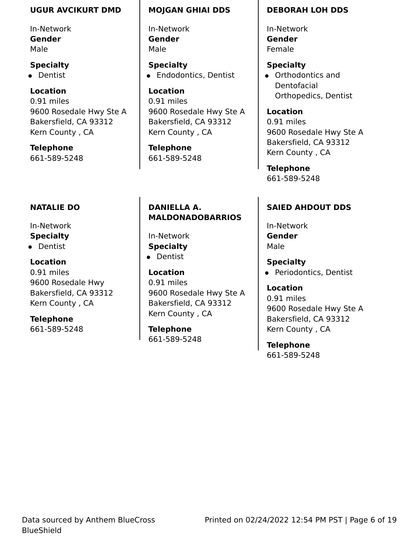#### **UGUR AVCIKURT DMD**

In-Network **Gender** Male

#### **Specialty**

• Dentist

### **Location**

0.91 miles 9600 Rosedale Hwy Ste A Bakersfield, CA 93312 Kern County , CA

**Telephone** 661-589-5248

## **NATALIE DO**

- In-Network
- **Specialty**
- **•** Dentist

### **Location**

0.91 miles 9600 Rosedale Hwy Bakersfield, CA 93312 Kern County , CA

## **Telephone**

661-589-5248

#### **MOJGAN GHIAI DDS**

In-Network **Gender** Male

**Specialty •** Endodontics, Dentist

**Location** 0.91 miles 9600 Rosedale Hwy Ste A Bakersfield, CA 93312 Kern County , CA

**Telephone** 661-589-5248

## **DANIELLA A. MALDONADOBARRIOS**

In-Network **Specialty •** Dentist

**Location**

0.91 miles 9600 Rosedale Hwy Ste A Bakersfield, CA 93312 Kern County , CA

**Telephone** 661-589-5248

#### **DEBORAH LOH DDS**

In-Network **Gender** Female

#### **Specialty**

Orthodontics and Dentofacial Orthopedics, Dentist

**Location** 0.91 miles 9600 Rosedale Hwy Ste A Bakersfield, CA 93312 Kern County , CA

**Telephone** 661-589-5248

## **SAIED AHDOUT DDS**

In-Network **Gender** Male

**Specialty**

• Periodontics, Dentist

**Location** 0.91 miles 9600 Rosedale Hwy Ste A Bakersfield, CA 93312 Kern County , CA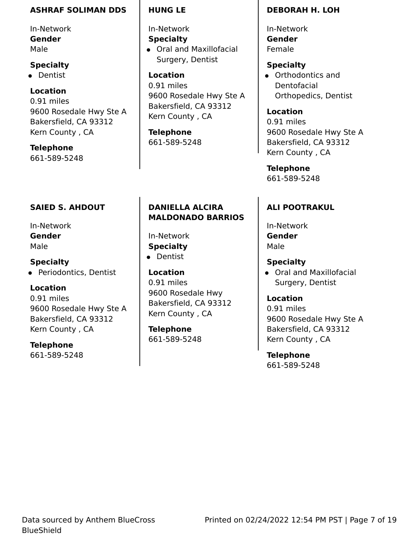#### **ASHRAF SOLIMAN DDS**

In-Network **Gender** Male

### **Specialty**

• Dentist

## **Location**

0.91 miles 9600 Rosedale Hwy Ste A Bakersfield, CA 93312 Kern County , CA

**Telephone** 661-589-5248

## **SAIED S. AHDOUT**

In-Network **Gender** Male

**Specialty** • Periodontics, Dentist

## **Location**

0.91 miles 9600 Rosedale Hwy Ste A Bakersfield, CA 93312 Kern County , CA

## **Telephone**

661-589-5248

### **HUNG LE**

In-Network **Specialty**

Oral and Maxillofacial Surgery, Dentist

**Location** 0.91 miles 9600 Rosedale Hwy Ste A Bakersfield, CA 93312 Kern County , CA

**Telephone** 661-589-5248

## **DANIELLA ALCIRA MALDONADO BARRIOS**

In-Network **Specialty**

**•** Dentist

**Location** 0.91 miles 9600 Rosedale Hwy Bakersfield, CA 93312 Kern County , CA

**Telephone** 661-589-5248

### **DEBORAH H. LOH**

In-Network **Gender** Female

## **Specialty**

Orthodontics and Dentofacial Orthopedics, Dentist

**Location** 0.91 miles 9600 Rosedale Hwy Ste A Bakersfield, CA 93312 Kern County , CA

**Telephone** 661-589-5248

## **ALI POOTRAKUL**

In-Network **Gender** Male

### **Specialty**

Oral and Maxillofacial Surgery, Dentist

**Location**

0.91 miles 9600 Rosedale Hwy Ste A Bakersfield, CA 93312 Kern County , CA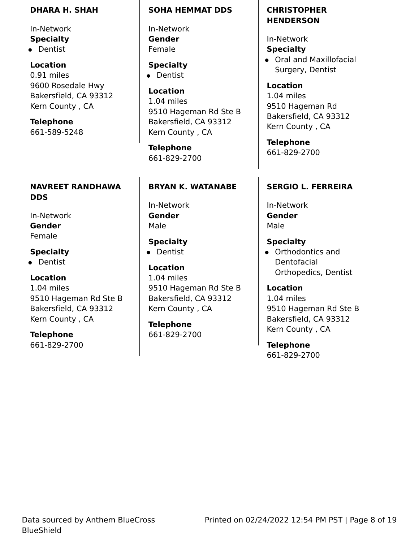#### **DHARA H. SHAH**

In-Network **Specialty**

• Dentist

**Location** 0.91 miles 9600 Rosedale Hwy Bakersfield, CA 93312 Kern County , CA

**Telephone** 661-589-5248

### **NAVREET RANDHAWA DDS**

In-Network **Gender** Female

## **Specialty**

• Dentist

### **Location**

1.04 miles 9510 Hageman Rd Ste B Bakersfield, CA 93312 Kern County , CA

**Telephone** 661-829-2700

#### **SOHA HEMMAT DDS**

In-Network **Gender** Female

**Specialty** • Dentist

**Location** 1.04 miles 9510 Hageman Rd Ste B Bakersfield, CA 93312 Kern County , CA

**Telephone** 661-829-2700

## **BRYAN K. WATANABE**

In-Network **Gender** Male

**Specialty** • Dentist

**Location** 1.04 miles 9510 Hageman Rd Ste B Bakersfield, CA 93312 Kern County , CA

**Telephone** 661-829-2700

## **CHRISTOPHER HENDERSON**

In-Network **Specialty**

Oral and Maxillofacial Surgery, Dentist

**Location** 1.04 miles 9510 Hageman Rd Bakersfield, CA 93312 Kern County , CA

**Telephone** 661-829-2700

## **SERGIO L. FERREIRA**

In-Network **Gender** Male

**Specialty**

Orthodontics and Dentofacial Orthopedics, Dentist

**Location** 1.04 miles 9510 Hageman Rd Ste B Bakersfield, CA 93312 Kern County , CA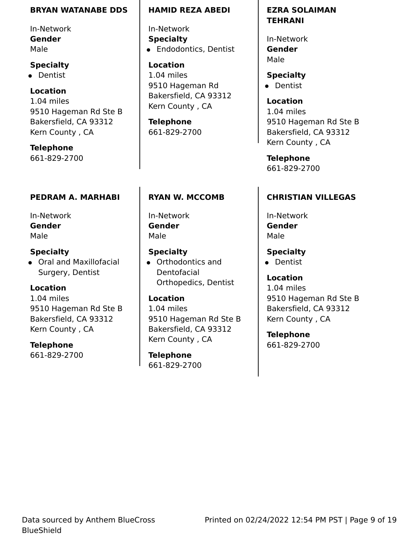#### **BRYAN WATANABE DDS**

In-Network **Gender** Male

#### **Specialty**

• Dentist

### **Location**

1.04 miles 9510 Hageman Rd Ste B Bakersfield, CA 93312 Kern County , CA

**Telephone** 661-829-2700

## **PEDRAM A. MARHABI**

In-Network **Gender** Male

**Specialty** Oral and Maxillofacial Surgery, Dentist

## **Location**

1.04 miles 9510 Hageman Rd Ste B Bakersfield, CA 93312 Kern County , CA

**Telephone** 661-829-2700

#### **HAMID REZA ABEDI**

In-Network **Specialty •** Endodontics, Dentist

**Location** 1.04 miles 9510 Hageman Rd Bakersfield, CA 93312 Kern County , CA

**Telephone** 661-829-2700

## **RYAN W. MCCOMB**

In-Network **Gender** Male

### **Specialty**

Orthodontics and Dentofacial Orthopedics, Dentist

#### **Location**

1.04 miles 9510 Hageman Rd Ste B Bakersfield, CA 93312 Kern County , CA

**Telephone** 661-829-2700 **EZRA SOLAIMAN TEHRANI**

In-Network **Gender** Male

**Specialty** • Dentist

> **Location** 1.04 miles 9510 Hageman Rd Ste B Bakersfield, CA 93312 Kern County , CA

**Telephone** 661-829-2700

## **CHRISTIAN VILLEGAS**

In-Network **Gender** Male

**Specialty**

• Dentist

**Location** 1.04 miles 9510 Hageman Rd Ste B Bakersfield, CA 93312 Kern County , CA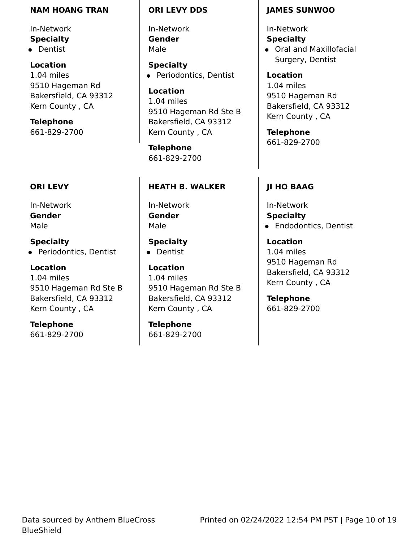#### **NAM HOANG TRAN**

In-Network **Specialty**

• Dentist

**Location** 1.04 miles 9510 Hageman Rd Bakersfield, CA 93312 Kern County , CA

**Telephone** 661-829-2700

## **ORI LEVY**

In-Network **Gender** Male

**Specialty** • Periodontics, Dentist

**Location** 1.04 miles 9510 Hageman Rd Ste B Bakersfield, CA 93312 Kern County , CA

**Telephone** 661-829-2700

#### **ORI LEVY DDS**

In-Network **Gender** Male

**Specialty** • Periodontics, Dentist

**Location** 1.04 miles 9510 Hageman Rd Ste B Bakersfield, CA 93312 Kern County , CA

**Telephone** 661-829-2700

### **HEATH B. WALKER**

In-Network **Gender** Male

**Specialty** • Dentist

**Location** 1.04 miles 9510 Hageman Rd Ste B Bakersfield, CA 93312 Kern County , CA

**Telephone** 661-829-2700

#### **JAMES SUNWOO**

In-Network

**Specialty** Oral and Maxillofacial Surgery, Dentist

**Location** 1.04 miles 9510 Hageman Rd Bakersfield, CA 93312 Kern County , CA

**Telephone** 661-829-2700

## **JI HO BAAG**

In-Network **Specialty •** Endodontics, Dentist

**Location** 1.04 miles 9510 Hageman Rd Bakersfield, CA 93312 Kern County , CA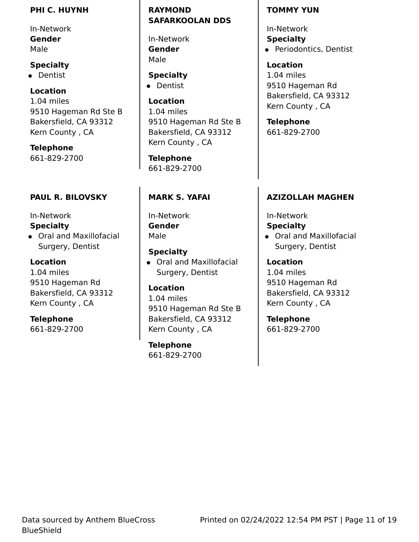#### **PHI C. HUYNH**

In-Network **Gender** Male

## **Specialty**

• Dentist

## **Location**

1.04 miles 9510 Hageman Rd Ste B Bakersfield, CA 93312 Kern County , CA

**Telephone** 661-829-2700

## **PAUL R. BILOVSKY**

### In-Network

## **Specialty**

Oral and Maxillofacial Surgery, Dentist

## **Location**

1.04 miles 9510 Hageman Rd Bakersfield, CA 93312 Kern County , CA

## **Telephone**

661-829-2700

### **RAYMOND SAFARKOOLAN DDS**

In-Network **Gender** Male

**Specialty •** Dentist

**Location** 1.04 miles 9510 Hageman Rd Ste B Bakersfield, CA 93312 Kern County , CA

**Telephone** 661-829-2700

## **MARK S. YAFAI**

In-Network **Gender** Male

## **Specialty**

Oral and Maxillofacial Surgery, Dentist

### **Location**

1.04 miles 9510 Hageman Rd Ste B Bakersfield, CA 93312 Kern County , CA

**Telephone** 661-829-2700

#### **TOMMY YUN**

In-Network **Specialty** • Periodontics, Dentist

**Location** 1.04 miles 9510 Hageman Rd Bakersfield, CA 93312 Kern County , CA

**Telephone** 661-829-2700

## **AZIZOLLAH MAGHEN**

## In-Network

## **Specialty**

Oral and Maxillofacial Surgery, Dentist

### **Location**

1.04 miles 9510 Hageman Rd Bakersfield, CA 93312 Kern County , CA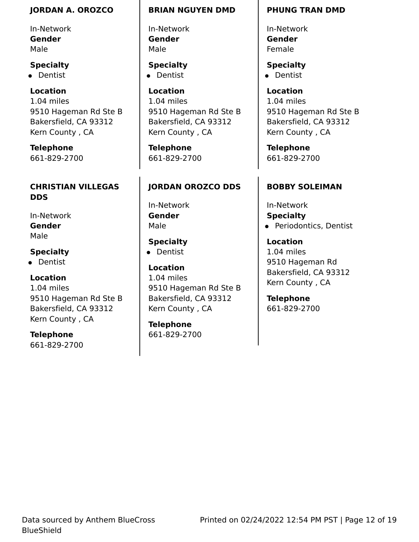#### **JORDAN A. OROZCO**

In-Network **Gender** Male

### **Specialty**

• Dentist

## **Location**

1.04 miles 9510 Hageman Rd Ste B Bakersfield, CA 93312 Kern County , CA

**Telephone** 661-829-2700

## **CHRISTIAN VILLEGAS DDS**

In-Network **Gender** Male

## **Specialty**

• Dentist

## **Location**

1.04 miles 9510 Hageman Rd Ste B Bakersfield, CA 93312 Kern County , CA

**Telephone** 661-829-2700

#### **BRIAN NGUYEN DMD**

In-Network **Gender** Male

**Specialty** • Dentist

#### **Location**

1.04 miles 9510 Hageman Rd Ste B Bakersfield, CA 93312 Kern County , CA

**Telephone** 661-829-2700

## **JORDAN OROZCO DDS**

In-Network **Gender** Male

**Specialty** • Dentist

## **Location** 1.04 miles 9510 Hageman Rd Ste B Bakersfield, CA 93312 Kern County , CA

**Telephone** 661-829-2700

#### **PHUNG TRAN DMD**

In-Network **Gender** Female

**Specialty** • Dentist

**Location** 1.04 miles 9510 Hageman Rd Ste B Bakersfield, CA 93312 Kern County , CA

**Telephone** 661-829-2700

### **BOBBY SOLEIMAN**

In-Network **Specialty** • Periodontics, Dentist

**Location** 1.04 miles 9510 Hageman Rd Bakersfield, CA 93312 Kern County , CA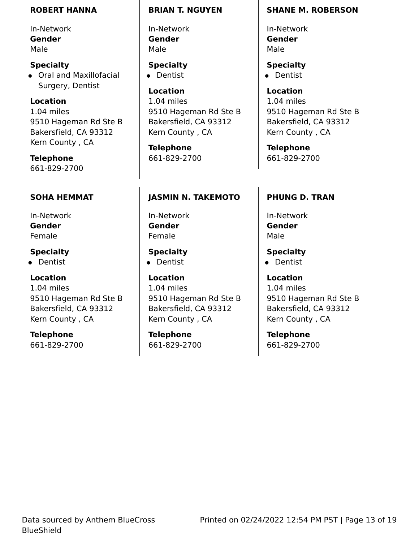#### **ROBERT HANNA**

In-Network **Gender** Male

**Specialty** Oral and Maxillofacial Surgery, Dentist

**Location** 1.04 miles 9510 Hageman Rd Ste B Bakersfield, CA 93312 Kern County , CA

**Telephone** 661-829-2700

## **SOHA HEMMAT**

In-Network **Gender** Female

**Specialty**

• Dentist

### **Location**

1.04 miles 9510 Hageman Rd Ste B Bakersfield, CA 93312 Kern County , CA

**Telephone** 661-829-2700

#### **BRIAN T. NGUYEN**

In-Network **Gender** Male

**Specialty** • Dentist

**Location** 1.04 miles 9510 Hageman Rd Ste B Bakersfield, CA 93312 Kern County , CA

**Telephone** 661-829-2700

## **JASMIN N. TAKEMOTO**

In-Network **Gender** Female

**Specialty** • Dentist

**Location** 1.04 miles 9510 Hageman Rd Ste B Bakersfield, CA 93312 Kern County , CA

**Telephone** 661-829-2700

#### **SHANE M. ROBERSON**

In-Network **Gender** Male

**Specialty** • Dentist

**Location** 1.04 miles 9510 Hageman Rd Ste B Bakersfield, CA 93312 Kern County , CA

**Telephone** 661-829-2700

## **PHUNG D. TRAN**

In-Network **Gender** Male

**Specialty** • Dentist **Location** 1.04 miles

9510 Hageman Rd Ste B Bakersfield, CA 93312 Kern County , CA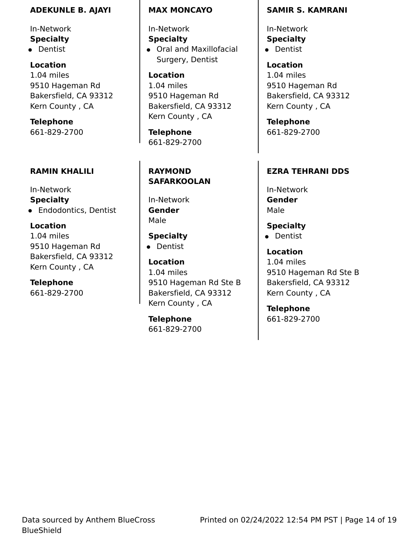#### **ADEKUNLE B. AJAYI**

In-Network **Specialty**

• Dentist

**Location** 1.04 miles 9510 Hageman Rd Bakersfield, CA 93312 Kern County , CA

**Telephone** 661-829-2700

### **RAMIN KHALILI**

In-Network **Specialty** Endodontics, Dentist

#### **Location**

1.04 miles 9510 Hageman Rd Bakersfield, CA 93312 Kern County , CA

**Telephone** 661-829-2700

#### **MAX MONCAYO**

In-Network **Specialty** Oral and Maxillofacial Surgery, Dentist

**Location** 1.04 miles 9510 Hageman Rd Bakersfield, CA 93312 Kern County , CA

**Telephone** 661-829-2700

## **RAYMOND SAFARKOOLAN**

In-Network **Gender** Male

**Specialty •** Dentist

**Location** 1.04 miles 9510 Hageman Rd Ste B Bakersfield, CA 93312 Kern County , CA

**Telephone** 661-829-2700

#### **SAMIR S. KAMRANI**

In-Network **Specialty** • Dentist

**Location** 1.04 miles 9510 Hageman Rd Bakersfield, CA 93312 Kern County , CA

**Telephone** 661-829-2700

#### **EZRA TEHRANI DDS**

In-Network **Gender** Male

**Specialty** • Dentist

**Location** 1.04 miles 9510 Hageman Rd Ste B Bakersfield, CA 93312 Kern County , CA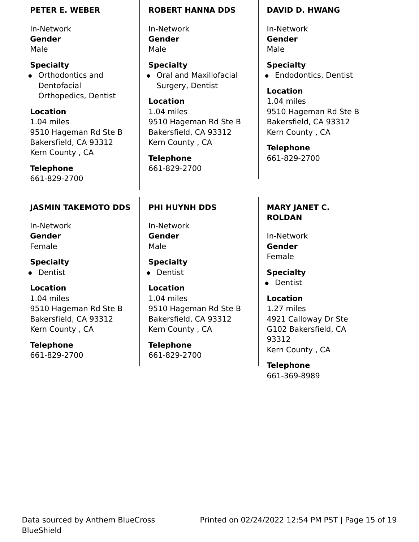#### **PETER E. WEBER**

In-Network **Gender** Male

**Specialty** Orthodontics and Dentofacial Orthopedics, Dentist

**Location** 1.04 miles 9510 Hageman Rd Ste B Bakersfield, CA 93312 Kern County , CA

**Telephone** 661-829-2700

**JASMIN TAKEMOTO DDS**

In-Network **Gender** Female

**Specialty**

**•** Dentist

**Location**

1.04 miles 9510 Hageman Rd Ste B Bakersfield, CA 93312 Kern County , CA

**Telephone** 661-829-2700

#### **ROBERT HANNA DDS**

In-Network **Gender** Male

**Specialty** Oral and Maxillofacial Surgery, Dentist

**Location** 1.04 miles 9510 Hageman Rd Ste B Bakersfield, CA 93312 Kern County , CA

**Telephone** 661-829-2700

## **PHI HUYNH DDS**

In-Network **Gender** Male

**Specialty** • Dentist

**Location** 1.04 miles 9510 Hageman Rd Ste B Bakersfield, CA 93312 Kern County , CA

**Telephone** 661-829-2700

#### **DAVID D. HWANG**

In-Network **Gender** Male

**Specialty •** Endodontics, Dentist

**Location** 1.04 miles 9510 Hageman Rd Ste B Bakersfield, CA 93312 Kern County , CA

**Telephone** 661-829-2700

## **MARY JANET C. ROLDAN**

In-Network **Gender** Female

**Specialty**

• Dentist

**Location** 1.27 miles 4921 Calloway Dr Ste G102 Bakersfield, CA 93312 Kern County , CA

**Telephone** 661-369-8989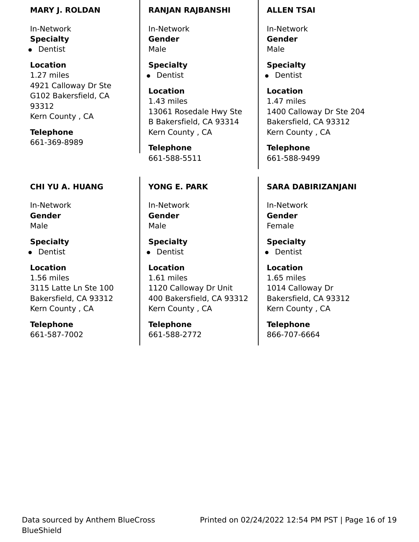#### **MARY J. ROLDAN**

In-Network **Specialty** • Dentist

**Location** 1.27 miles 4921 Calloway Dr Ste G102 Bakersfield, CA 93312 Kern County , CA

**Telephone** 661-369-8989

## **CHI YU A. HUANG**

In-Network **Gender** Male

## **Specialty**

• Dentist

## **Location**

1.56 miles 3115 Latte Ln Ste 100 Bakersfield, CA 93312 Kern County , CA

**Telephone** 661-587-7002

#### **RANJAN RAJBANSHI**

In-Network **Gender** Male

**Specialty** • Dentist

**Location** 1.43 miles 13061 Rosedale Hwy Ste B Bakersfield, CA 93314 Kern County , CA

**Telephone** 661-588-5511

## **YONG E. PARK**

In-Network **Gender** Male

**Specialty** • Dentist

**Location** 1.61 miles 1120 Calloway Dr Unit 400 Bakersfield, CA 93312 Kern County , CA

**Telephone** 661-588-2772

#### **ALLEN TSAI**

In-Network **Gender** Male

**Specialty** • Dentist

**Location** 1.47 miles 1400 Calloway Dr Ste 204 Bakersfield, CA 93312 Kern County , CA

**Telephone** 661-588-9499

## **SARA DABIRIZANJANI**

In-Network **Gender** Female

**Specialty** • Dentist

**Location** 1.65 miles 1014 Calloway Dr Bakersfield, CA 93312 Kern County , CA

**Telephone** 866-707-6664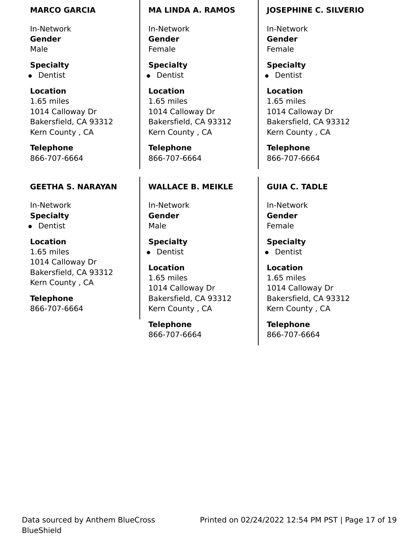#### **MARCO GARCIA**

In-Network **Gender** Male

## **Specialty**

• Dentist

**Location** 1.65 miles 1014 Calloway Dr Bakersfield, CA 93312 Kern County , CA

**Telephone** 866-707-6664

## **GEETHA S. NARAYAN**

In-Network **Specialty •** Dentist

**Location** 1.65 miles 1014 Calloway Dr Bakersfield, CA 93312

**Telephone** 866-707-6664

Kern County , CA

### **MA LINDA A. RAMOS**

In-Network **Gender** Female

**Specialty** • Dentist

**Location** 1.65 miles 1014 Calloway Dr Bakersfield, CA 93312 Kern County , CA

**Telephone** 866-707-6664

## **WALLACE B. MEIKLE**

In-Network **Gender** Male

**Specialty** • Dentist

**Location** 1.65 miles 1014 Calloway Dr Bakersfield, CA 93312 Kern County , CA

**Telephone** 866-707-6664

## **JOSEPHINE C. SILVERIO**

In-Network **Gender** Female

**Specialty** • Dentist

**Location** 1.65 miles 1014 Calloway Dr Bakersfield, CA 93312 Kern County , CA

**Telephone** 866-707-6664

## **GUIA C. TADLE**

In-Network **Gender** Female

**Specialty**

• Dentist

**Location** 1.65 miles 1014 Calloway Dr Bakersfield, CA 93312 Kern County , CA

**Telephone** 866-707-6664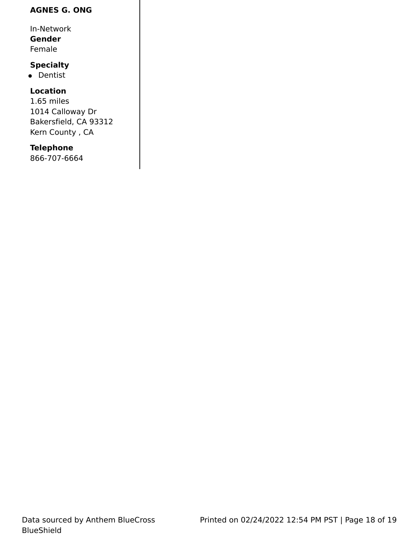## **AGNES G. ONG**

In-Network

**Gender**

Female

## **Specialty**

• Dentist

## **Location**

1.65 miles 1014 Calloway Dr Bakersfield, CA 93312 Kern County , CA

## **Telephone**

866-707-6664